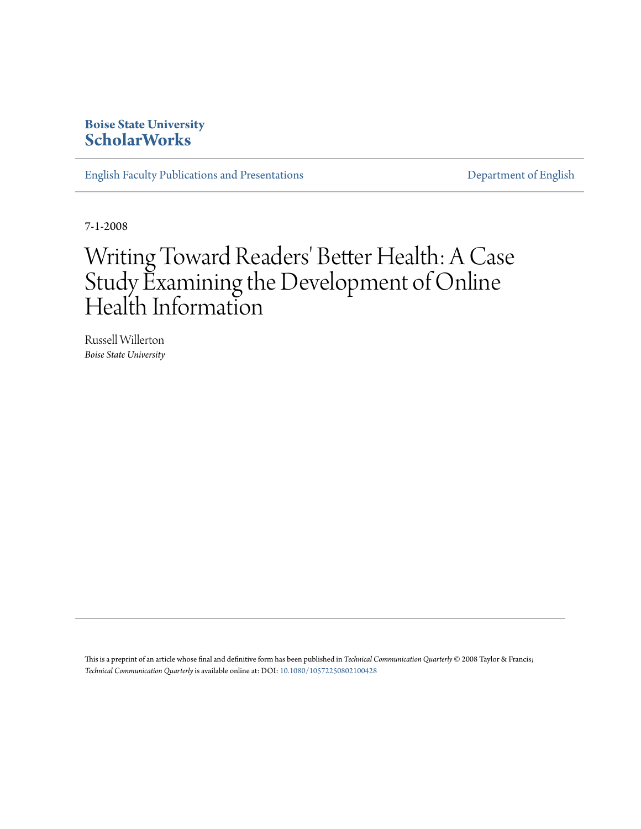# **Boise State University [ScholarWorks](https://scholarworks.boisestate.edu)**

[English Faculty Publications and Presentations](https://scholarworks.boisestate.edu/english_facpubs) **[Department of English](https://scholarworks.boisestate.edu/english)** 

7-1-2008

# Writing Toward Readers' Better Health: A Case Study Examining the Development of Online Health Information

Russell Willerton *Boise State University*

This is a preprint of an article whose final and definitive form has been published in *Technical Communication Quarterly* © 2008 Taylor & Francis; *Technical Communication Quarterly*is available online at: DOI: [10.1080/10572250802100428](http://dx.doi.org/10.1080/10572250802100428)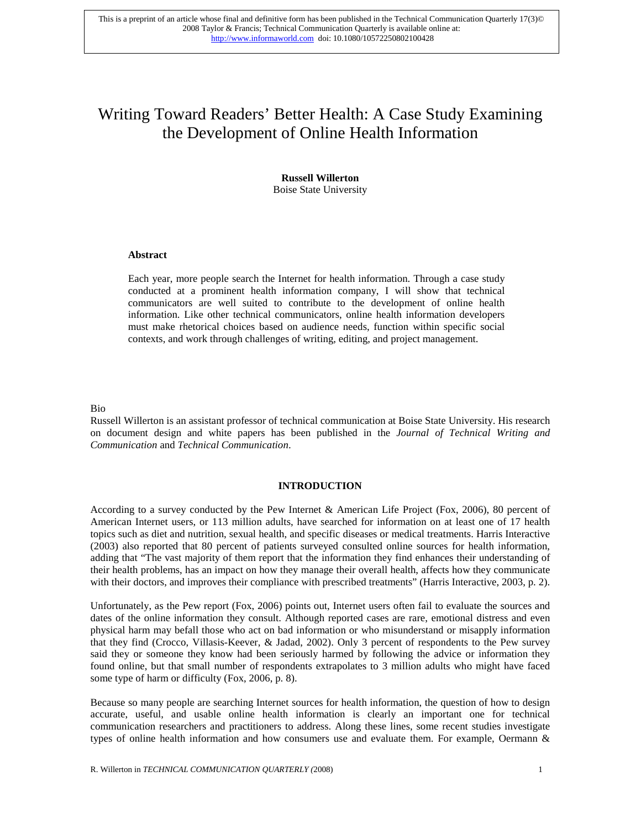# Writing Toward Readers' Better Health: A Case Study Examining the Development of Online Health Information

**Russell Willerton**  Boise State University

#### **Abstract**

Each year, more people search the Internet for health information. Through a case study conducted at a prominent health information company, I will show that technical communicators are well suited to contribute to the development of online health information. Like other technical communicators, online health information developers must make rhetorical choices based on audience needs, function within specific social contexts, and work through challenges of writing, editing, and project management.

#### Bio

Russell Willerton is an assistant professor of technical communication at Boise State University. His research on document design and white papers has been published in the *Journal of Technical Writing and Communication* and *Technical Communication*.

#### **INTRODUCTION**

According to a survey conducted by the Pew Internet & American Life Project (Fox, 2006), 80 percent of American Internet users, or 113 million adults, have searched for information on at least one of 17 health topics such as diet and nutrition, sexual health, and specific diseases or medical treatments. Harris Interactive (2003) also reported that 80 percent of patients surveyed consulted online sources for health information, adding that "The vast majority of them report that the information they find enhances their understanding of their health problems, has an impact on how they manage their overall health, affects how they communicate with their doctors, and improves their compliance with prescribed treatments" (Harris Interactive, 2003, p. 2).

Unfortunately, as the Pew report (Fox, 2006) points out, Internet users often fail to evaluate the sources and dates of the online information they consult. Although reported cases are rare, emotional distress and even physical harm may befall those who act on bad information or who misunderstand or misapply information that they find (Crocco, Villasis-Keever, & Jadad, 2002). Only 3 percent of respondents to the Pew survey said they or someone they know had been seriously harmed by following the advice or information they found online, but that small number of respondents extrapolates to 3 million adults who might have faced some type of harm or difficulty (Fox, 2006, p. 8).

Because so many people are searching Internet sources for health information, the question of how to design accurate, useful, and usable online health information is clearly an important one for technical communication researchers and practitioners to address. Along these lines, some recent studies investigate types of online health information and how consumers use and evaluate them. For example, Oermann &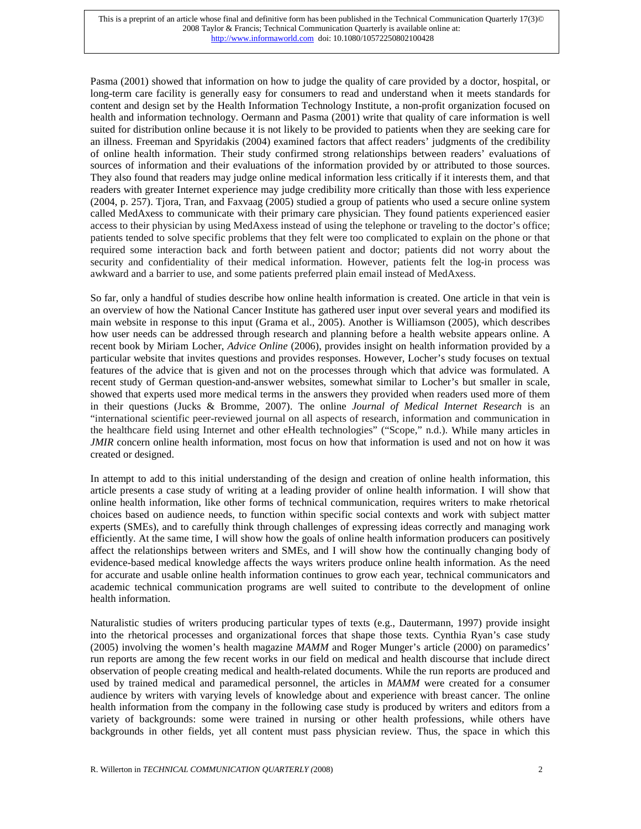Pasma (2001) showed that information on how to judge the quality of care provided by a doctor, hospital, or long-term care facility is generally easy for consumers to read and understand when it meets standards for content and design set by the Health Information Technology Institute, a non-profit organization focused on health and information technology. Oermann and Pasma (2001) write that quality of care information is well suited for distribution online because it is not likely to be provided to patients when they are seeking care for an illness. Freeman and Spyridakis (2004) examined factors that affect readers' judgments of the credibility of online health information. Their study confirmed strong relationships between readers' evaluations of sources of information and their evaluations of the information provided by or attributed to those sources. They also found that readers may judge online medical information less critically if it interests them, and that readers with greater Internet experience may judge credibility more critically than those with less experience (2004, p. 257). Tjora, Tran, and Faxvaag (2005) studied a group of patients who used a secure online system called MedAxess to communicate with their primary care physician. They found patients experienced easier access to their physician by using MedAxess instead of using the telephone or traveling to the doctor's office; patients tended to solve specific problems that they felt were too complicated to explain on the phone or that required some interaction back and forth between patient and doctor; patients did not worry about the security and confidentiality of their medical information. However, patients felt the log-in process was awkward and a barrier to use, and some patients preferred plain email instead of MedAxess.

So far, only a handful of studies describe how online health information is created. One article in that vein is an overview of how the National Cancer Institute has gathered user input over several years and modified its main website in response to this input (Grama et al., 2005). Another is Williamson (2005), which describes how user needs can be addressed through research and planning before a health website appears online. A recent book by Miriam Locher, *Advice Online* (2006), provides insight on health information provided by a particular website that invites questions and provides responses. However, Locher's study focuses on textual features of the advice that is given and not on the processes through which that advice was formulated. A recent study of German question-and-answer websites, somewhat similar to Locher's but smaller in scale, showed that experts used more medical terms in the answers they provided when readers used more of them in their questions (Jucks & Bromme, 2007). The online *Journal of Medical Internet Research* is an "international scientific peer-reviewed journal on all aspects of research, information and communication in the healthcare field using Internet and other eHealth technologies" ("Scope," n.d.). While many articles in *JMIR* concern online health information, most focus on how that information is used and not on how it was created or designed.

In attempt to add to this initial understanding of the design and creation of online health information, this article presents a case study of writing at a leading provider of online health information. I will show that online health information, like other forms of technical communication, requires writers to make rhetorical choices based on audience needs, to function within specific social contexts and work with subject matter experts (SMEs), and to carefully think through challenges of expressing ideas correctly and managing work efficiently. At the same time, I will show how the goals of online health information producers can positively affect the relationships between writers and SMEs, and I will show how the continually changing body of evidence-based medical knowledge affects the ways writers produce online health information. As the need for accurate and usable online health information continues to grow each year, technical communicators and academic technical communication programs are well suited to contribute to the development of online health information.

Naturalistic studies of writers producing particular types of texts (e.g., Dautermann, 1997) provide insight into the rhetorical processes and organizational forces that shape those texts. Cynthia Ryan's case study (2005) involving the women's health magazine *MAMM* and Roger Munger's article (2000) on paramedics' run reports are among the few recent works in our field on medical and health discourse that include direct observation of people creating medical and health-related documents. While the run reports are produced and used by trained medical and paramedical personnel, the articles in *MAMM* were created for a consumer audience by writers with varying levels of knowledge about and experience with breast cancer. The online health information from the company in the following case study is produced by writers and editors from a variety of backgrounds: some were trained in nursing or other health professions, while others have backgrounds in other fields, yet all content must pass physician review. Thus, the space in which this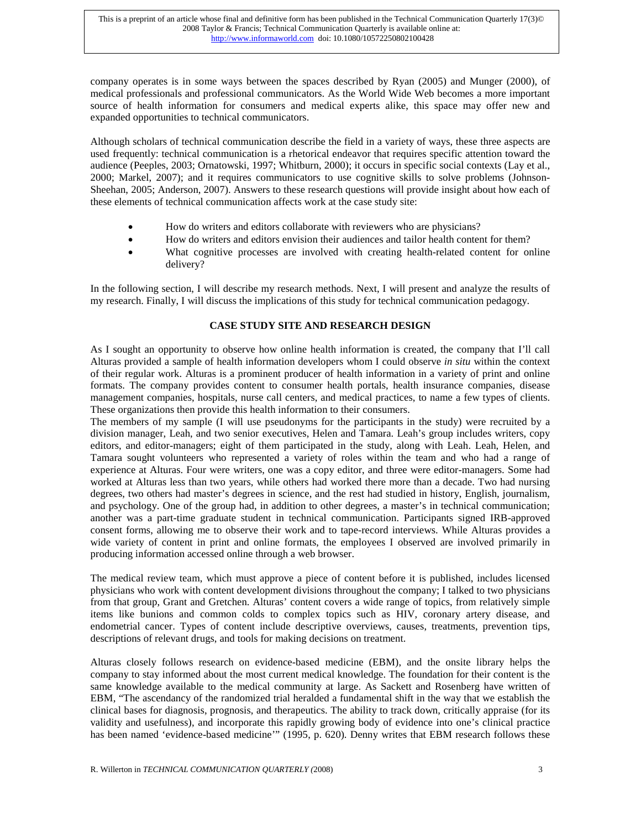company operates is in some ways between the spaces described by Ryan (2005) and Munger (2000), of medical professionals and professional communicators. As the World Wide Web becomes a more important source of health information for consumers and medical experts alike, this space may offer new and expanded opportunities to technical communicators.

Although scholars of technical communication describe the field in a variety of ways, these three aspects are used frequently: technical communication is a rhetorical endeavor that requires specific attention toward the audience (Peeples, 2003; Ornatowski, 1997; Whitburn, 2000); it occurs in specific social contexts (Lay et al., 2000; Markel, 2007); and it requires communicators to use cognitive skills to solve problems (Johnson-Sheehan, 2005; Anderson, 2007). Answers to these research questions will provide insight about how each of these elements of technical communication affects work at the case study site:

- How do writers and editors collaborate with reviewers who are physicians?
- How do writers and editors envision their audiences and tailor health content for them?
- What cognitive processes are involved with creating health-related content for online delivery?

In the following section, I will describe my research methods. Next, I will present and analyze the results of my research. Finally, I will discuss the implications of this study for technical communication pedagogy.

#### **CASE STUDY SITE AND RESEARCH DESIGN**

As I sought an opportunity to observe how online health information is created, the company that I'll call Alturas provided a sample of health information developers whom I could observe *in situ* within the context of their regular work. Alturas is a prominent producer of health information in a variety of print and online formats. The company provides content to consumer health portals, health insurance companies, disease management companies, hospitals, nurse call centers, and medical practices, to name a few types of clients. These organizations then provide this health information to their consumers.

The members of my sample (I will use pseudonyms for the participants in the study) were recruited by a division manager, Leah, and two senior executives, Helen and Tamara. Leah's group includes writers, copy editors, and editor-managers; eight of them participated in the study, along with Leah. Leah, Helen, and Tamara sought volunteers who represented a variety of roles within the team and who had a range of experience at Alturas. Four were writers, one was a copy editor, and three were editor-managers. Some had worked at Alturas less than two years, while others had worked there more than a decade. Two had nursing degrees, two others had master's degrees in science, and the rest had studied in history, English, journalism, and psychology. One of the group had, in addition to other degrees, a master's in technical communication; another was a part-time graduate student in technical communication. Participants signed IRB-approved consent forms, allowing me to observe their work and to tape-record interviews. While Alturas provides a wide variety of content in print and online formats, the employees I observed are involved primarily in producing information accessed online through a web browser.

The medical review team, which must approve a piece of content before it is published, includes licensed physicians who work with content development divisions throughout the company; I talked to two physicians from that group, Grant and Gretchen. Alturas' content covers a wide range of topics, from relatively simple items like bunions and common colds to complex topics such as HIV, coronary artery disease, and endometrial cancer. Types of content include descriptive overviews, causes, treatments, prevention tips, descriptions of relevant drugs, and tools for making decisions on treatment.

Alturas closely follows research on evidence-based medicine (EBM), and the onsite library helps the company to stay informed about the most current medical knowledge. The foundation for their content is the same knowledge available to the medical community at large. As Sackett and Rosenberg have written of EBM, "The ascendancy of the randomized trial heralded a fundamental shift in the way that we establish the clinical bases for diagnosis, prognosis, and therapeutics. The ability to track down, critically appraise (for its validity and usefulness), and incorporate this rapidly growing body of evidence into one's clinical practice has been named 'evidence-based medicine'" (1995, p. 620). Denny writes that EBM research follows these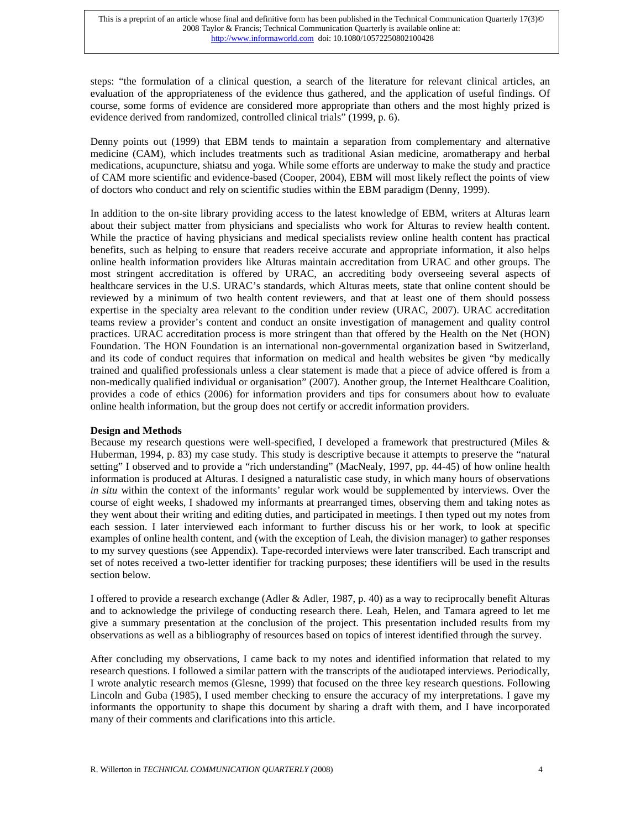steps: "the formulation of a clinical question, a search of the literature for relevant clinical articles, an evaluation of the appropriateness of the evidence thus gathered, and the application of useful findings. Of course, some forms of evidence are considered more appropriate than others and the most highly prized is evidence derived from randomized, controlled clinical trials" (1999, p. 6).

Denny points out (1999) that EBM tends to maintain a separation from complementary and alternative medicine (CAM), which includes treatments such as traditional Asian medicine, aromatherapy and herbal medications, acupuncture, shiatsu and yoga. While some efforts are underway to make the study and practice of CAM more scientific and evidence-based (Cooper, 2004), EBM will most likely reflect the points of view of doctors who conduct and rely on scientific studies within the EBM paradigm (Denny, 1999).

In addition to the on-site library providing access to the latest knowledge of EBM, writers at Alturas learn about their subject matter from physicians and specialists who work for Alturas to review health content. While the practice of having physicians and medical specialists review online health content has practical benefits, such as helping to ensure that readers receive accurate and appropriate information, it also helps online health information providers like Alturas maintain accreditation from URAC and other groups. The most stringent accreditation is offered by URAC, an accrediting body overseeing several aspects of healthcare services in the U.S. URAC's standards, which Alturas meets, state that online content should be reviewed by a minimum of two health content reviewers, and that at least one of them should possess expertise in the specialty area relevant to the condition under review (URAC, 2007). URAC accreditation teams review a provider's content and conduct an onsite investigation of management and quality control practices. URAC accreditation process is more stringent than that offered by the Health on the Net (HON) Foundation. The HON Foundation is an international non-governmental organization based in Switzerland, and its code of conduct requires that information on medical and health websites be given "by medically trained and qualified professionals unless a clear statement is made that a piece of advice offered is from a non-medically qualified individual or organisation" (2007). Another group, the Internet Healthcare Coalition, provides a code of ethics (2006) for information providers and tips for consumers about how to evaluate online health information, but the group does not certify or accredit information providers.

#### **Design and Methods**

Because my research questions were well-specified, I developed a framework that prestructured (Miles & Huberman, 1994, p. 83) my case study. This study is descriptive because it attempts to preserve the "natural setting" I observed and to provide a "rich understanding" (MacNealy, 1997, pp. 44-45) of how online health information is produced at Alturas. I designed a naturalistic case study, in which many hours of observations *in situ* within the context of the informants' regular work would be supplemented by interviews. Over the course of eight weeks, I shadowed my informants at prearranged times, observing them and taking notes as they went about their writing and editing duties, and participated in meetings. I then typed out my notes from each session. I later interviewed each informant to further discuss his or her work, to look at specific examples of online health content, and (with the exception of Leah, the division manager) to gather responses to my survey questions (see Appendix). Tape-recorded interviews were later transcribed. Each transcript and set of notes received a two-letter identifier for tracking purposes; these identifiers will be used in the results section below.

I offered to provide a research exchange (Adler & Adler, 1987, p. 40) as a way to reciprocally benefit Alturas and to acknowledge the privilege of conducting research there. Leah, Helen, and Tamara agreed to let me give a summary presentation at the conclusion of the project. This presentation included results from my observations as well as a bibliography of resources based on topics of interest identified through the survey.

After concluding my observations, I came back to my notes and identified information that related to my research questions. I followed a similar pattern with the transcripts of the audiotaped interviews. Periodically, I wrote analytic research memos (Glesne, 1999) that focused on the three key research questions. Following Lincoln and Guba (1985), I used member checking to ensure the accuracy of my interpretations. I gave my informants the opportunity to shape this document by sharing a draft with them, and I have incorporated many of their comments and clarifications into this article.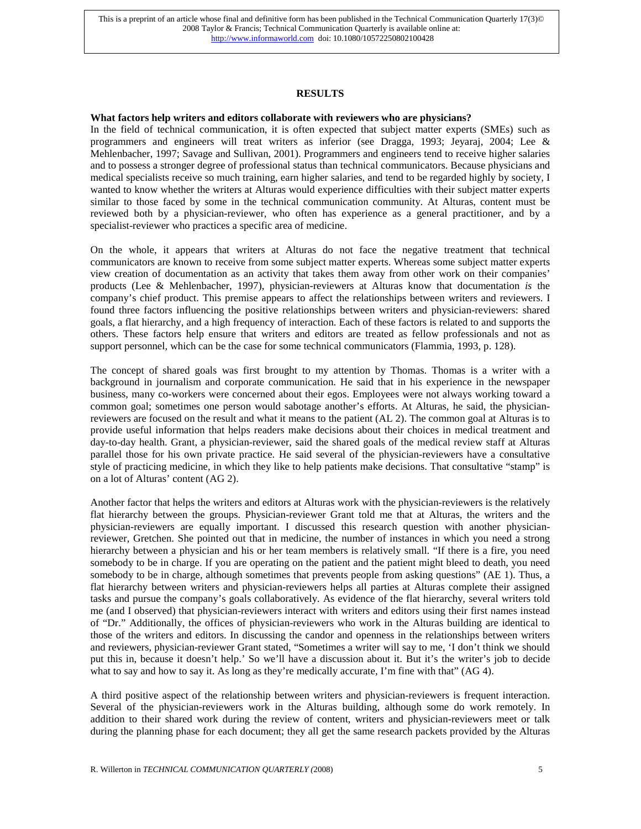#### **RESULTS**

#### **What factors help writers and editors collaborate with reviewers who are physicians?**

In the field of technical communication, it is often expected that subject matter experts (SMEs) such as programmers and engineers will treat writers as inferior (see Dragga, 1993; Jeyaraj, 2004; Lee & Mehlenbacher, 1997; Savage and Sullivan, 2001). Programmers and engineers tend to receive higher salaries and to possess a stronger degree of professional status than technical communicators. Because physicians and medical specialists receive so much training, earn higher salaries, and tend to be regarded highly by society, I wanted to know whether the writers at Alturas would experience difficulties with their subject matter experts similar to those faced by some in the technical communication community. At Alturas, content must be reviewed both by a physician-reviewer, who often has experience as a general practitioner, and by a specialist-reviewer who practices a specific area of medicine.

On the whole, it appears that writers at Alturas do not face the negative treatment that technical communicators are known to receive from some subject matter experts. Whereas some subject matter experts view creation of documentation as an activity that takes them away from other work on their companies' products (Lee & Mehlenbacher, 1997), physician-reviewers at Alturas know that documentation *is* the company's chief product. This premise appears to affect the relationships between writers and reviewers. I found three factors influencing the positive relationships between writers and physician-reviewers: shared goals, a flat hierarchy, and a high frequency of interaction. Each of these factors is related to and supports the others. These factors help ensure that writers and editors are treated as fellow professionals and not as support personnel, which can be the case for some technical communicators (Flammia, 1993, p. 128).

The concept of shared goals was first brought to my attention by Thomas. Thomas is a writer with a background in journalism and corporate communication. He said that in his experience in the newspaper business, many co-workers were concerned about their egos. Employees were not always working toward a common goal; sometimes one person would sabotage another's efforts. At Alturas, he said, the physicianreviewers are focused on the result and what it means to the patient (AL 2). The common goal at Alturas is to provide useful information that helps readers make decisions about their choices in medical treatment and day-to-day health. Grant, a physician-reviewer, said the shared goals of the medical review staff at Alturas parallel those for his own private practice. He said several of the physician-reviewers have a consultative style of practicing medicine, in which they like to help patients make decisions. That consultative "stamp" is on a lot of Alturas' content (AG 2).

Another factor that helps the writers and editors at Alturas work with the physician-reviewers is the relatively flat hierarchy between the groups. Physician-reviewer Grant told me that at Alturas, the writers and the physician-reviewers are equally important. I discussed this research question with another physicianreviewer, Gretchen. She pointed out that in medicine, the number of instances in which you need a strong hierarchy between a physician and his or her team members is relatively small. "If there is a fire, you need somebody to be in charge. If you are operating on the patient and the patient might bleed to death, you need somebody to be in charge, although sometimes that prevents people from asking questions" (AE 1). Thus, a flat hierarchy between writers and physician-reviewers helps all parties at Alturas complete their assigned tasks and pursue the company's goals collaboratively. As evidence of the flat hierarchy, several writers told me (and I observed) that physician-reviewers interact with writers and editors using their first names instead of "Dr." Additionally, the offices of physician-reviewers who work in the Alturas building are identical to those of the writers and editors. In discussing the candor and openness in the relationships between writers and reviewers, physician-reviewer Grant stated, "Sometimes a writer will say to me, 'I don't think we should put this in, because it doesn't help.' So we'll have a discussion about it. But it's the writer's job to decide what to say and how to say it. As long as they're medically accurate, I'm fine with that" (AG 4).

A third positive aspect of the relationship between writers and physician-reviewers is frequent interaction. Several of the physician-reviewers work in the Alturas building, although some do work remotely. In addition to their shared work during the review of content, writers and physician-reviewers meet or talk during the planning phase for each document; they all get the same research packets provided by the Alturas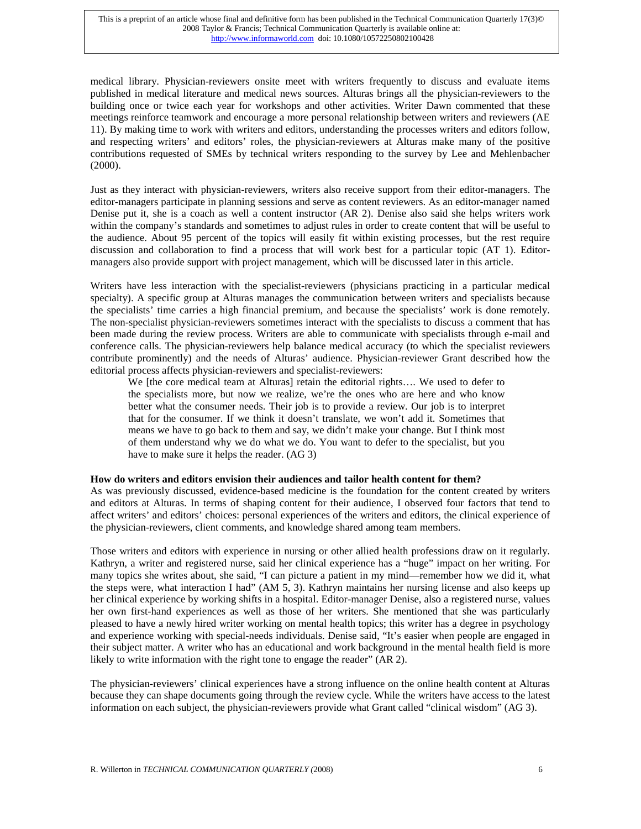medical library. Physician-reviewers onsite meet with writers frequently to discuss and evaluate items published in medical literature and medical news sources. Alturas brings all the physician-reviewers to the building once or twice each year for workshops and other activities. Writer Dawn commented that these meetings reinforce teamwork and encourage a more personal relationship between writers and reviewers (AE 11). By making time to work with writers and editors, understanding the processes writers and editors follow, and respecting writers' and editors' roles, the physician-reviewers at Alturas make many of the positive contributions requested of SMEs by technical writers responding to the survey by Lee and Mehlenbacher (2000).

Just as they interact with physician-reviewers, writers also receive support from their editor-managers. The editor-managers participate in planning sessions and serve as content reviewers. As an editor-manager named Denise put it, she is a coach as well a content instructor (AR 2). Denise also said she helps writers work within the company's standards and sometimes to adjust rules in order to create content that will be useful to the audience. About 95 percent of the topics will easily fit within existing processes, but the rest require discussion and collaboration to find a process that will work best for a particular topic (AT 1). Editormanagers also provide support with project management, which will be discussed later in this article.

Writers have less interaction with the specialist-reviewers (physicians practicing in a particular medical specialty). A specific group at Alturas manages the communication between writers and specialists because the specialists' time carries a high financial premium, and because the specialists' work is done remotely. The non-specialist physician-reviewers sometimes interact with the specialists to discuss a comment that has been made during the review process. Writers are able to communicate with specialists through e-mail and conference calls. The physician-reviewers help balance medical accuracy (to which the specialist reviewers contribute prominently) and the needs of Alturas' audience. Physician-reviewer Grant described how the editorial process affects physician-reviewers and specialist-reviewers:

We [the core medical team at Alturas] retain the editorial rights.... We used to defer to the specialists more, but now we realize, we're the ones who are here and who know better what the consumer needs. Their job is to provide a review. Our job is to interpret that for the consumer. If we think it doesn't translate, we won't add it. Sometimes that means we have to go back to them and say, we didn't make your change. But I think most of them understand why we do what we do. You want to defer to the specialist, but you have to make sure it helps the reader. (AG 3)

#### **How do writers and editors envision their audiences and tailor health content for them?**

As was previously discussed, evidence-based medicine is the foundation for the content created by writers and editors at Alturas. In terms of shaping content for their audience, I observed four factors that tend to affect writers' and editors' choices: personal experiences of the writers and editors, the clinical experience of the physician-reviewers, client comments, and knowledge shared among team members.

Those writers and editors with experience in nursing or other allied health professions draw on it regularly. Kathryn, a writer and registered nurse, said her clinical experience has a "huge" impact on her writing. For many topics she writes about, she said, "I can picture a patient in my mind—remember how we did it, what the steps were, what interaction I had" (AM 5, 3). Kathryn maintains her nursing license and also keeps up her clinical experience by working shifts in a hospital. Editor-manager Denise, also a registered nurse, values her own first-hand experiences as well as those of her writers. She mentioned that she was particularly pleased to have a newly hired writer working on mental health topics; this writer has a degree in psychology and experience working with special-needs individuals. Denise said, "It's easier when people are engaged in their subject matter. A writer who has an educational and work background in the mental health field is more likely to write information with the right tone to engage the reader" (AR 2).

The physician-reviewers' clinical experiences have a strong influence on the online health content at Alturas because they can shape documents going through the review cycle. While the writers have access to the latest information on each subject, the physician-reviewers provide what Grant called "clinical wisdom" (AG 3).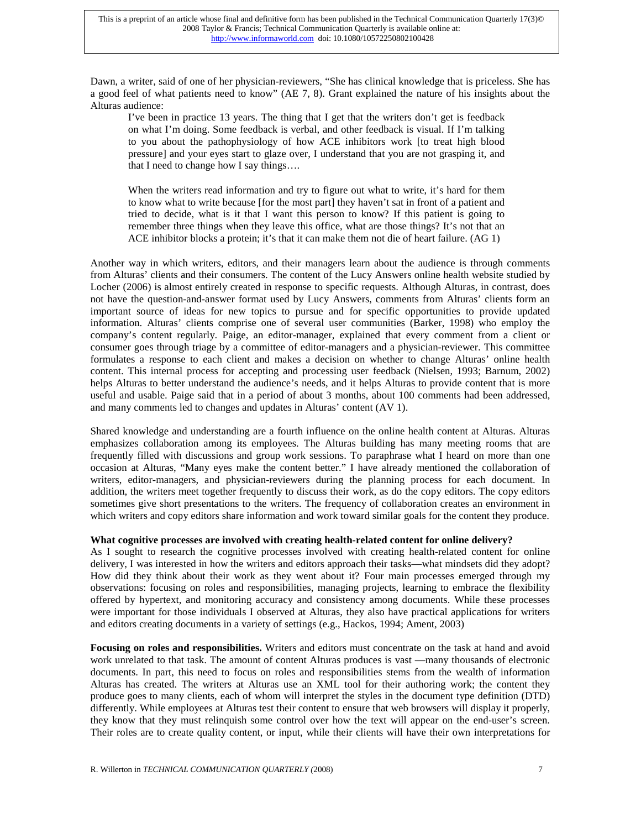Dawn, a writer, said of one of her physician-reviewers, "She has clinical knowledge that is priceless. She has a good feel of what patients need to know" (AE 7, 8). Grant explained the nature of his insights about the Alturas audience:

I've been in practice 13 years. The thing that I get that the writers don't get is feedback on what I'm doing. Some feedback is verbal, and other feedback is visual. If I'm talking to you about the pathophysiology of how ACE inhibitors work [to treat high blood pressure] and your eyes start to glaze over, I understand that you are not grasping it, and that I need to change how I say things….

When the writers read information and try to figure out what to write, it's hard for them to know what to write because [for the most part] they haven't sat in front of a patient and tried to decide, what is it that I want this person to know? If this patient is going to remember three things when they leave this office, what are those things? It's not that an ACE inhibitor blocks a protein; it's that it can make them not die of heart failure. (AG 1)

Another way in which writers, editors, and their managers learn about the audience is through comments from Alturas' clients and their consumers. The content of the Lucy Answers online health website studied by Locher (2006) is almost entirely created in response to specific requests. Although Alturas, in contrast, does not have the question-and-answer format used by Lucy Answers, comments from Alturas' clients form an important source of ideas for new topics to pursue and for specific opportunities to provide updated information. Alturas' clients comprise one of several user communities (Barker, 1998) who employ the company's content regularly. Paige, an editor-manager, explained that every comment from a client or consumer goes through triage by a committee of editor-managers and a physician-reviewer. This committee formulates a response to each client and makes a decision on whether to change Alturas' online health content. This internal process for accepting and processing user feedback (Nielsen, 1993; Barnum, 2002) helps Alturas to better understand the audience's needs, and it helps Alturas to provide content that is more useful and usable. Paige said that in a period of about 3 months, about 100 comments had been addressed, and many comments led to changes and updates in Alturas' content (AV 1).

Shared knowledge and understanding are a fourth influence on the online health content at Alturas. Alturas emphasizes collaboration among its employees. The Alturas building has many meeting rooms that are frequently filled with discussions and group work sessions. To paraphrase what I heard on more than one occasion at Alturas, "Many eyes make the content better." I have already mentioned the collaboration of writers, editor-managers, and physician-reviewers during the planning process for each document. In addition, the writers meet together frequently to discuss their work, as do the copy editors. The copy editors sometimes give short presentations to the writers. The frequency of collaboration creates an environment in which writers and copy editors share information and work toward similar goals for the content they produce.

#### **What cognitive processes are involved with creating health-related content for online delivery?**

As I sought to research the cognitive processes involved with creating health-related content for online delivery, I was interested in how the writers and editors approach their tasks—what mindsets did they adopt? How did they think about their work as they went about it? Four main processes emerged through my observations: focusing on roles and responsibilities, managing projects, learning to embrace the flexibility offered by hypertext, and monitoring accuracy and consistency among documents. While these processes were important for those individuals I observed at Alturas, they also have practical applications for writers and editors creating documents in a variety of settings (e.g., Hackos, 1994; Ament, 2003)

**Focusing on roles and responsibilities.** Writers and editors must concentrate on the task at hand and avoid work unrelated to that task. The amount of content Alturas produces is vast —many thousands of electronic documents. In part, this need to focus on roles and responsibilities stems from the wealth of information Alturas has created. The writers at Alturas use an XML tool for their authoring work; the content they produce goes to many clients, each of whom will interpret the styles in the document type definition (DTD) differently. While employees at Alturas test their content to ensure that web browsers will display it properly, they know that they must relinquish some control over how the text will appear on the end-user's screen. Their roles are to create quality content, or input, while their clients will have their own interpretations for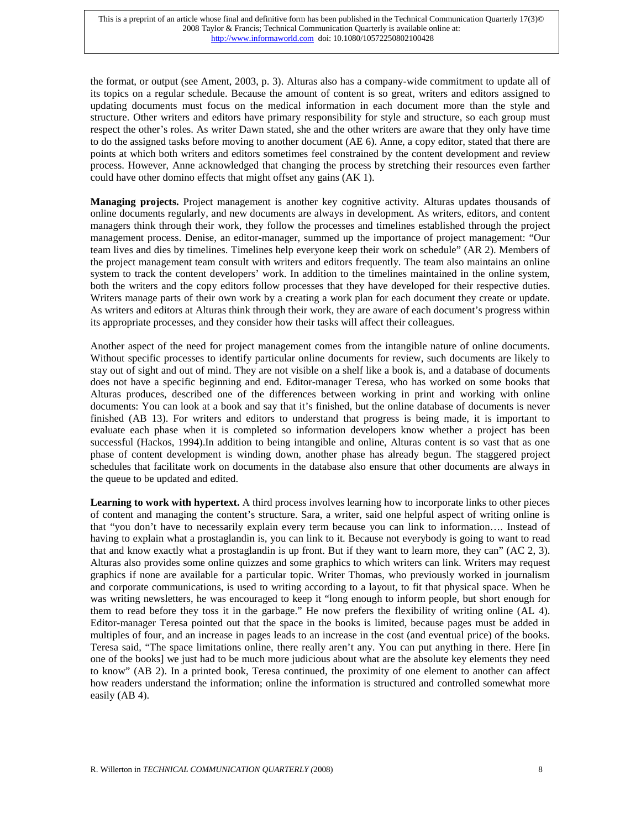the format, or output (see Ament, 2003, p. 3). Alturas also has a company-wide commitment to update all of its topics on a regular schedule. Because the amount of content is so great, writers and editors assigned to updating documents must focus on the medical information in each document more than the style and structure. Other writers and editors have primary responsibility for style and structure, so each group must respect the other's roles. As writer Dawn stated, she and the other writers are aware that they only have time to do the assigned tasks before moving to another document (AE 6). Anne, a copy editor, stated that there are points at which both writers and editors sometimes feel constrained by the content development and review process. However, Anne acknowledged that changing the process by stretching their resources even farther could have other domino effects that might offset any gains (AK 1).

**Managing projects.** Project management is another key cognitive activity. Alturas updates thousands of online documents regularly, and new documents are always in development. As writers, editors, and content managers think through their work, they follow the processes and timelines established through the project management process. Denise, an editor-manager, summed up the importance of project management: "Our team lives and dies by timelines. Timelines help everyone keep their work on schedule" (AR 2). Members of the project management team consult with writers and editors frequently. The team also maintains an online system to track the content developers' work. In addition to the timelines maintained in the online system, both the writers and the copy editors follow processes that they have developed for their respective duties. Writers manage parts of their own work by a creating a work plan for each document they create or update. As writers and editors at Alturas think through their work, they are aware of each document's progress within its appropriate processes, and they consider how their tasks will affect their colleagues.

Another aspect of the need for project management comes from the intangible nature of online documents. Without specific processes to identify particular online documents for review, such documents are likely to stay out of sight and out of mind. They are not visible on a shelf like a book is, and a database of documents does not have a specific beginning and end. Editor-manager Teresa, who has worked on some books that Alturas produces, described one of the differences between working in print and working with online documents: You can look at a book and say that it's finished, but the online database of documents is never finished (AB 13). For writers and editors to understand that progress is being made, it is important to evaluate each phase when it is completed so information developers know whether a project has been successful (Hackos, 1994).In addition to being intangible and online, Alturas content is so vast that as one phase of content development is winding down, another phase has already begun. The staggered project schedules that facilitate work on documents in the database also ensure that other documents are always in the queue to be updated and edited.

**Learning to work with hypertext.** A third process involves learning how to incorporate links to other pieces of content and managing the content's structure. Sara, a writer, said one helpful aspect of writing online is that "you don't have to necessarily explain every term because you can link to information…. Instead of having to explain what a prostaglandin is, you can link to it. Because not everybody is going to want to read that and know exactly what a prostaglandin is up front. But if they want to learn more, they can" (AC 2, 3). Alturas also provides some online quizzes and some graphics to which writers can link. Writers may request graphics if none are available for a particular topic. Writer Thomas, who previously worked in journalism and corporate communications, is used to writing according to a layout, to fit that physical space. When he was writing newsletters, he was encouraged to keep it "long enough to inform people, but short enough for them to read before they toss it in the garbage." He now prefers the flexibility of writing online (AL 4). Editor-manager Teresa pointed out that the space in the books is limited, because pages must be added in multiples of four, and an increase in pages leads to an increase in the cost (and eventual price) of the books. Teresa said, "The space limitations online, there really aren't any. You can put anything in there. Here [in one of the books] we just had to be much more judicious about what are the absolute key elements they need to know" (AB 2). In a printed book, Teresa continued, the proximity of one element to another can affect how readers understand the information; online the information is structured and controlled somewhat more easily (AB 4).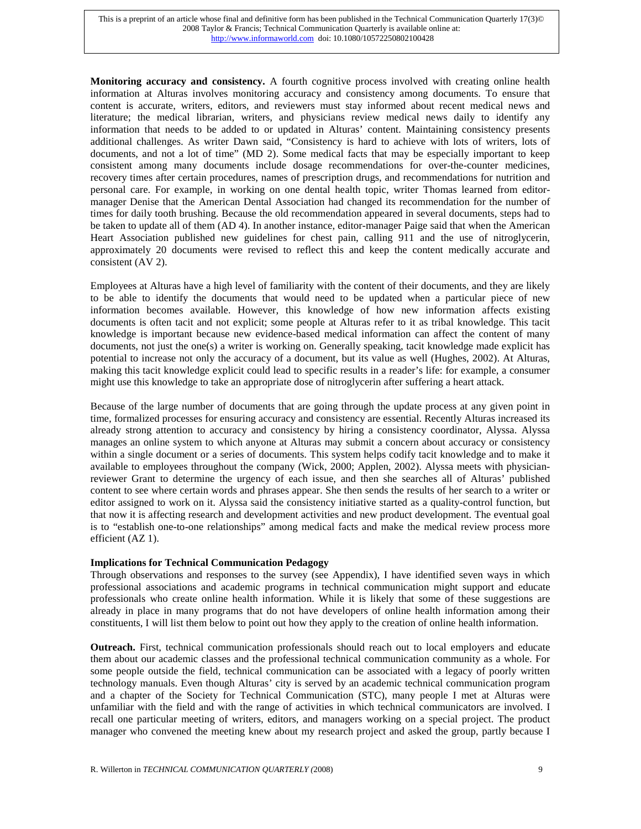**Monitoring accuracy and consistency.** A fourth cognitive process involved with creating online health information at Alturas involves monitoring accuracy and consistency among documents. To ensure that content is accurate, writers, editors, and reviewers must stay informed about recent medical news and literature; the medical librarian, writers, and physicians review medical news daily to identify any information that needs to be added to or updated in Alturas' content. Maintaining consistency presents additional challenges. As writer Dawn said, "Consistency is hard to achieve with lots of writers, lots of documents, and not a lot of time" (MD 2). Some medical facts that may be especially important to keep consistent among many documents include dosage recommendations for over-the-counter medicines, recovery times after certain procedures, names of prescription drugs, and recommendations for nutrition and personal care. For example, in working on one dental health topic, writer Thomas learned from editormanager Denise that the American Dental Association had changed its recommendation for the number of times for daily tooth brushing. Because the old recommendation appeared in several documents, steps had to be taken to update all of them (AD 4). In another instance, editor-manager Paige said that when the American Heart Association published new guidelines for chest pain, calling 911 and the use of nitroglycerin, approximately 20 documents were revised to reflect this and keep the content medically accurate and consistent (AV 2).

Employees at Alturas have a high level of familiarity with the content of their documents, and they are likely to be able to identify the documents that would need to be updated when a particular piece of new information becomes available. However, this knowledge of how new information affects existing documents is often tacit and not explicit; some people at Alturas refer to it as tribal knowledge. This tacit knowledge is important because new evidence-based medical information can affect the content of many documents, not just the one(s) a writer is working on. Generally speaking, tacit knowledge made explicit has potential to increase not only the accuracy of a document, but its value as well (Hughes, 2002). At Alturas, making this tacit knowledge explicit could lead to specific results in a reader's life: for example, a consumer might use this knowledge to take an appropriate dose of nitroglycerin after suffering a heart attack.

Because of the large number of documents that are going through the update process at any given point in time, formalized processes for ensuring accuracy and consistency are essential. Recently Alturas increased its already strong attention to accuracy and consistency by hiring a consistency coordinator, Alyssa. Alyssa manages an online system to which anyone at Alturas may submit a concern about accuracy or consistency within a single document or a series of documents. This system helps codify tacit knowledge and to make it available to employees throughout the company (Wick, 2000; Applen, 2002). Alyssa meets with physicianreviewer Grant to determine the urgency of each issue, and then she searches all of Alturas' published content to see where certain words and phrases appear. She then sends the results of her search to a writer or editor assigned to work on it. Alyssa said the consistency initiative started as a quality-control function, but that now it is affecting research and development activities and new product development. The eventual goal is to "establish one-to-one relationships" among medical facts and make the medical review process more efficient (AZ 1).

#### **Implications for Technical Communication Pedagogy**

Through observations and responses to the survey (see Appendix), I have identified seven ways in which professional associations and academic programs in technical communication might support and educate professionals who create online health information. While it is likely that some of these suggestions are already in place in many programs that do not have developers of online health information among their constituents, I will list them below to point out how they apply to the creation of online health information.

**Outreach.** First, technical communication professionals should reach out to local employers and educate them about our academic classes and the professional technical communication community as a whole. For some people outside the field, technical communication can be associated with a legacy of poorly written technology manuals. Even though Alturas' city is served by an academic technical communication program and a chapter of the Society for Technical Communication (STC), many people I met at Alturas were unfamiliar with the field and with the range of activities in which technical communicators are involved. I recall one particular meeting of writers, editors, and managers working on a special project. The product manager who convened the meeting knew about my research project and asked the group, partly because I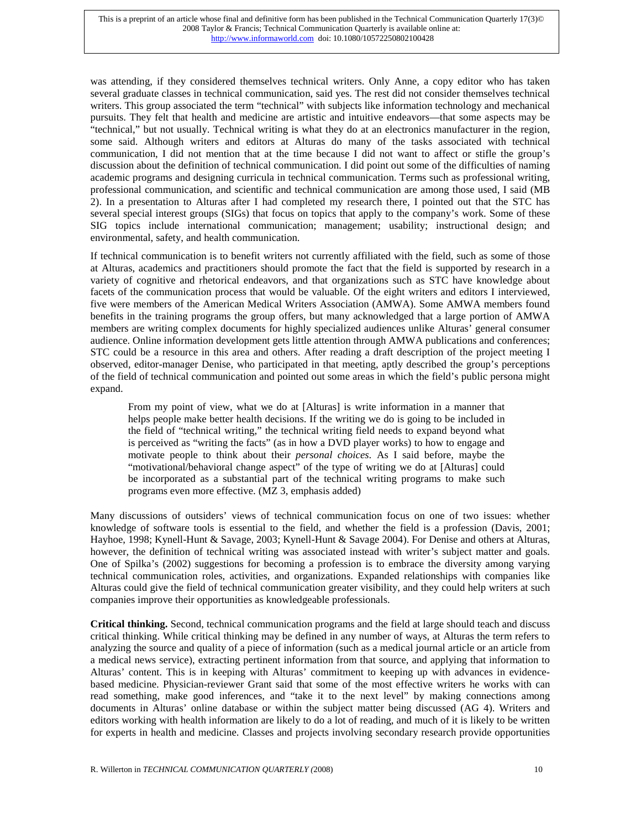was attending, if they considered themselves technical writers. Only Anne, a copy editor who has taken several graduate classes in technical communication, said yes. The rest did not consider themselves technical writers. This group associated the term "technical" with subjects like information technology and mechanical pursuits. They felt that health and medicine are artistic and intuitive endeavors—that some aspects may be "technical," but not usually. Technical writing is what they do at an electronics manufacturer in the region, some said. Although writers and editors at Alturas do many of the tasks associated with technical communication, I did not mention that at the time because I did not want to affect or stifle the group's discussion about the definition of technical communication. I did point out some of the difficulties of naming academic programs and designing curricula in technical communication. Terms such as professional writing, professional communication, and scientific and technical communication are among those used, I said (MB 2). In a presentation to Alturas after I had completed my research there, I pointed out that the STC has several special interest groups (SIGs) that focus on topics that apply to the company's work. Some of these SIG topics include international communication; management; usability; instructional design; and environmental, safety, and health communication.

If technical communication is to benefit writers not currently affiliated with the field, such as some of those at Alturas, academics and practitioners should promote the fact that the field is supported by research in a variety of cognitive and rhetorical endeavors, and that organizations such as STC have knowledge about facets of the communication process that would be valuable. Of the eight writers and editors I interviewed, five were members of the American Medical Writers Association (AMWA). Some AMWA members found benefits in the training programs the group offers, but many acknowledged that a large portion of AMWA members are writing complex documents for highly specialized audiences unlike Alturas' general consumer audience. Online information development gets little attention through AMWA publications and conferences; STC could be a resource in this area and others. After reading a draft description of the project meeting I observed, editor-manager Denise, who participated in that meeting, aptly described the group's perceptions of the field of technical communication and pointed out some areas in which the field's public persona might expand.

From my point of view, what we do at [Alturas] is write information in a manner that helps people make better health decisions. If the writing we do is going to be included in the field of "technical writing," the technical writing field needs to expand beyond what is perceived as "writing the facts" (as in how a DVD player works) to how to engage and motivate people to think about their *personal choices*. As I said before, maybe the "motivational/behavioral change aspect" of the type of writing we do at [Alturas] could be incorporated as a substantial part of the technical writing programs to make such programs even more effective. (MZ 3, emphasis added)

Many discussions of outsiders' views of technical communication focus on one of two issues: whether knowledge of software tools is essential to the field, and whether the field is a profession (Davis, 2001; Hayhoe, 1998; Kynell-Hunt & Savage, 2003; Kynell-Hunt & Savage 2004). For Denise and others at Alturas, however, the definition of technical writing was associated instead with writer's subject matter and goals. One of Spilka's (2002) suggestions for becoming a profession is to embrace the diversity among varying technical communication roles, activities, and organizations. Expanded relationships with companies like Alturas could give the field of technical communication greater visibility, and they could help writers at such companies improve their opportunities as knowledgeable professionals.

**Critical thinking.** Second, technical communication programs and the field at large should teach and discuss critical thinking. While critical thinking may be defined in any number of ways, at Alturas the term refers to analyzing the source and quality of a piece of information (such as a medical journal article or an article from a medical news service), extracting pertinent information from that source, and applying that information to Alturas' content. This is in keeping with Alturas' commitment to keeping up with advances in evidencebased medicine. Physician-reviewer Grant said that some of the most effective writers he works with can read something, make good inferences, and "take it to the next level" by making connections among documents in Alturas' online database or within the subject matter being discussed (AG 4). Writers and editors working with health information are likely to do a lot of reading, and much of it is likely to be written for experts in health and medicine. Classes and projects involving secondary research provide opportunities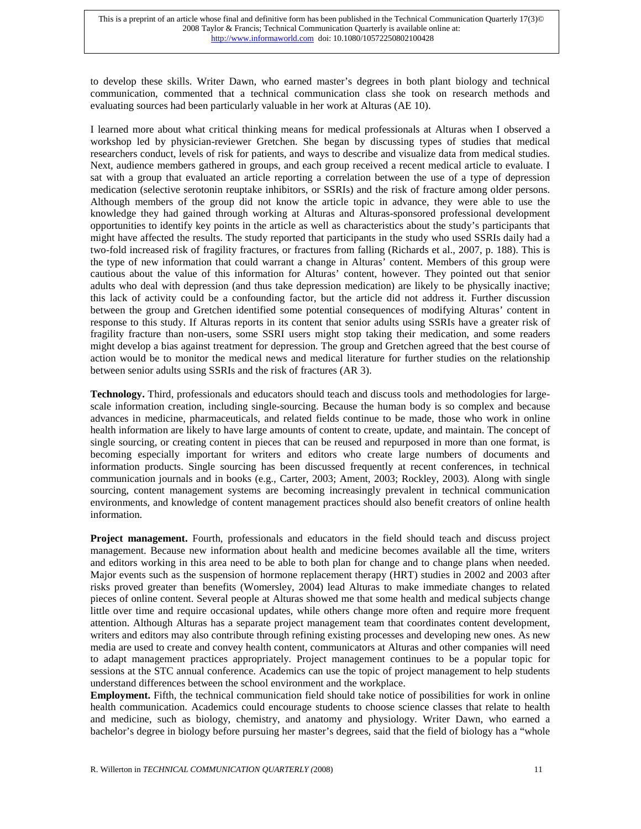to develop these skills. Writer Dawn, who earned master's degrees in both plant biology and technical communication, commented that a technical communication class she took on research methods and evaluating sources had been particularly valuable in her work at Alturas (AE 10).

I learned more about what critical thinking means for medical professionals at Alturas when I observed a workshop led by physician-reviewer Gretchen. She began by discussing types of studies that medical researchers conduct, levels of risk for patients, and ways to describe and visualize data from medical studies. Next, audience members gathered in groups, and each group received a recent medical article to evaluate. I sat with a group that evaluated an article reporting a correlation between the use of a type of depression medication (selective serotonin reuptake inhibitors, or SSRIs) and the risk of fracture among older persons. Although members of the group did not know the article topic in advance, they were able to use the knowledge they had gained through working at Alturas and Alturas-sponsored professional development opportunities to identify key points in the article as well as characteristics about the study's participants that might have affected the results. The study reported that participants in the study who used SSRIs daily had a two-fold increased risk of fragility fractures, or fractures from falling (Richards et al., 2007, p. 188). This is the type of new information that could warrant a change in Alturas' content. Members of this group were cautious about the value of this information for Alturas' content, however. They pointed out that senior adults who deal with depression (and thus take depression medication) are likely to be physically inactive; this lack of activity could be a confounding factor, but the article did not address it. Further discussion between the group and Gretchen identified some potential consequences of modifying Alturas' content in response to this study. If Alturas reports in its content that senior adults using SSRIs have a greater risk of fragility fracture than non-users, some SSRI users might stop taking their medication, and some readers might develop a bias against treatment for depression. The group and Gretchen agreed that the best course of action would be to monitor the medical news and medical literature for further studies on the relationship between senior adults using SSRIs and the risk of fractures (AR 3).

**Technology.** Third, professionals and educators should teach and discuss tools and methodologies for largescale information creation, including single-sourcing. Because the human body is so complex and because advances in medicine, pharmaceuticals, and related fields continue to be made, those who work in online health information are likely to have large amounts of content to create, update, and maintain. The concept of single sourcing, or creating content in pieces that can be reused and repurposed in more than one format, is becoming especially important for writers and editors who create large numbers of documents and information products. Single sourcing has been discussed frequently at recent conferences, in technical communication journals and in books (e.g., Carter, 2003; Ament, 2003; Rockley, 2003). Along with single sourcing, content management systems are becoming increasingly prevalent in technical communication environments, and knowledge of content management practices should also benefit creators of online health information.

**Project management.** Fourth, professionals and educators in the field should teach and discuss project management. Because new information about health and medicine becomes available all the time, writers and editors working in this area need to be able to both plan for change and to change plans when needed. Major events such as the suspension of hormone replacement therapy (HRT) studies in 2002 and 2003 after risks proved greater than benefits (Womersley, 2004) lead Alturas to make immediate changes to related pieces of online content. Several people at Alturas showed me that some health and medical subjects change little over time and require occasional updates, while others change more often and require more frequent attention. Although Alturas has a separate project management team that coordinates content development, writers and editors may also contribute through refining existing processes and developing new ones. As new media are used to create and convey health content, communicators at Alturas and other companies will need to adapt management practices appropriately. Project management continues to be a popular topic for sessions at the STC annual conference. Academics can use the topic of project management to help students understand differences between the school environment and the workplace.

**Employment.** Fifth, the technical communication field should take notice of possibilities for work in online health communication. Academics could encourage students to choose science classes that relate to health and medicine, such as biology, chemistry, and anatomy and physiology. Writer Dawn, who earned a bachelor's degree in biology before pursuing her master's degrees, said that the field of biology has a "whole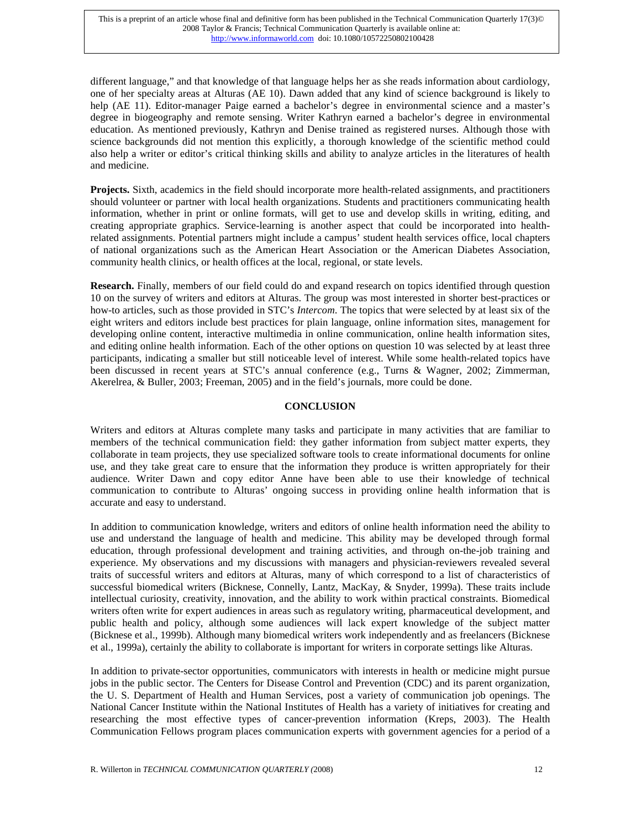different language," and that knowledge of that language helps her as she reads information about cardiology, one of her specialty areas at Alturas (AE 10). Dawn added that any kind of science background is likely to help (AE 11). Editor-manager Paige earned a bachelor's degree in environmental science and a master's degree in biogeography and remote sensing. Writer Kathryn earned a bachelor's degree in environmental education. As mentioned previously, Kathryn and Denise trained as registered nurses. Although those with science backgrounds did not mention this explicitly, a thorough knowledge of the scientific method could also help a writer or editor's critical thinking skills and ability to analyze articles in the literatures of health and medicine.

**Projects.** Sixth, academics in the field should incorporate more health-related assignments, and practitioners should volunteer or partner with local health organizations. Students and practitioners communicating health information, whether in print or online formats, will get to use and develop skills in writing, editing, and creating appropriate graphics. Service-learning is another aspect that could be incorporated into healthrelated assignments. Potential partners might include a campus' student health services office, local chapters of national organizations such as the American Heart Association or the American Diabetes Association, community health clinics, or health offices at the local, regional, or state levels.

**Research.** Finally, members of our field could do and expand research on topics identified through question 10 on the survey of writers and editors at Alturas. The group was most interested in shorter best-practices or how-to articles, such as those provided in STC's *Intercom*. The topics that were selected by at least six of the eight writers and editors include best practices for plain language, online information sites, management for developing online content, interactive multimedia in online communication, online health information sites, and editing online health information. Each of the other options on question 10 was selected by at least three participants, indicating a smaller but still noticeable level of interest. While some health-related topics have been discussed in recent years at STC's annual conference (e.g., Turns & Wagner, 2002; Zimmerman, Akerelrea, & Buller, 2003; Freeman, 2005) and in the field's journals, more could be done.

#### **CONCLUSION**

Writers and editors at Alturas complete many tasks and participate in many activities that are familiar to members of the technical communication field: they gather information from subject matter experts, they collaborate in team projects, they use specialized software tools to create informational documents for online use, and they take great care to ensure that the information they produce is written appropriately for their audience. Writer Dawn and copy editor Anne have been able to use their knowledge of technical communication to contribute to Alturas' ongoing success in providing online health information that is accurate and easy to understand.

In addition to communication knowledge, writers and editors of online health information need the ability to use and understand the language of health and medicine. This ability may be developed through formal education, through professional development and training activities, and through on-the-job training and experience. My observations and my discussions with managers and physician-reviewers revealed several traits of successful writers and editors at Alturas, many of which correspond to a list of characteristics of successful biomedical writers (Bicknese, Connelly, Lantz, MacKay, & Snyder, 1999a). These traits include intellectual curiosity, creativity, innovation, and the ability to work within practical constraints. Biomedical writers often write for expert audiences in areas such as regulatory writing, pharmaceutical development, and public health and policy, although some audiences will lack expert knowledge of the subject matter (Bicknese et al., 1999b). Although many biomedical writers work independently and as freelancers (Bicknese et al., 1999a), certainly the ability to collaborate is important for writers in corporate settings like Alturas.

In addition to private-sector opportunities, communicators with interests in health or medicine might pursue jobs in the public sector. The Centers for Disease Control and Prevention (CDC) and its parent organization, the U. S. Department of Health and Human Services, post a variety of communication job openings. The National Cancer Institute within the National Institutes of Health has a variety of initiatives for creating and researching the most effective types of cancer-prevention information (Kreps, 2003). The Health Communication Fellows program places communication experts with government agencies for a period of a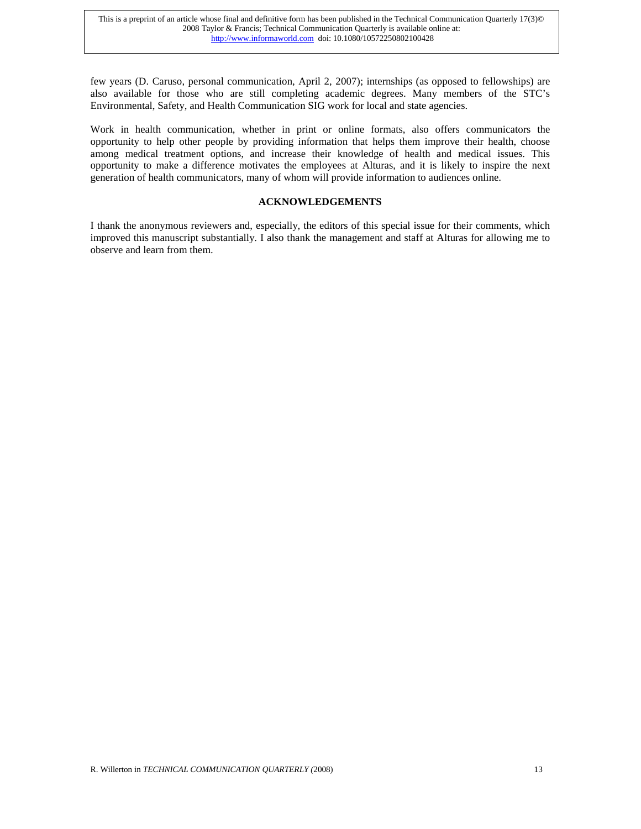few years (D. Caruso, personal communication, April 2, 2007); internships (as opposed to fellowships) are also available for those who are still completing academic degrees. Many members of the STC's Environmental, Safety, and Health Communication SIG work for local and state agencies.

Work in health communication, whether in print or online formats, also offers communicators the opportunity to help other people by providing information that helps them improve their health, choose among medical treatment options, and increase their knowledge of health and medical issues. This opportunity to make a difference motivates the employees at Alturas, and it is likely to inspire the next generation of health communicators, many of whom will provide information to audiences online.

#### **ACKNOWLEDGEMENTS**

I thank the anonymous reviewers and, especially, the editors of this special issue for their comments, which improved this manuscript substantially. I also thank the management and staff at Alturas for allowing me to observe and learn from them.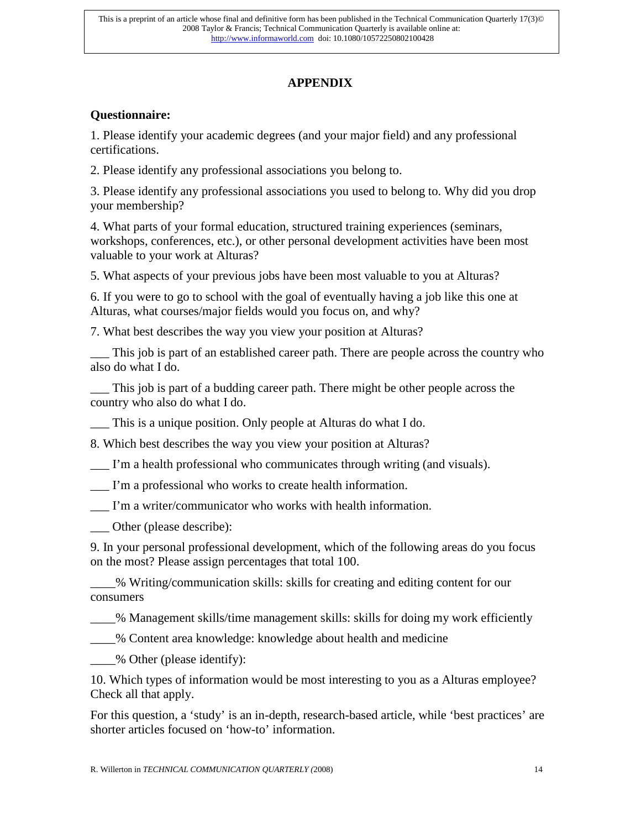## **APPENDIX**

### **Questionnaire:**

1. Please identify your academic degrees (and your major field) and any professional certifications.

2. Please identify any professional associations you belong to.

3. Please identify any professional associations you used to belong to. Why did you drop your membership?

4. What parts of your formal education, structured training experiences (seminars, workshops, conferences, etc.), or other personal development activities have been most valuable to your work at Alturas?

5. What aspects of your previous jobs have been most valuable to you at Alturas?

6. If you were to go to school with the goal of eventually having a job like this one at Alturas, what courses/major fields would you focus on, and why?

7. What best describes the way you view your position at Alturas?

This job is part of an established career path. There are people across the country who also do what I do.

\_\_\_ This job is part of a budding career path. There might be other people across the country who also do what I do.

\_\_\_ This is a unique position. Only people at Alturas do what I do.

8. Which best describes the way you view your position at Alturas?

\_\_\_ I'm a health professional who communicates through writing (and visuals).

\_\_\_ I'm a professional who works to create health information.

I'm a writer/communicator who works with health information.

\_\_\_ Other (please describe):

9. In your personal professional development, which of the following areas do you focus on the most? Please assign percentages that total 100.

\_\_\_\_% Writing/communication skills: skills for creating and editing content for our consumers

\_\_\_\_% Management skills/time management skills: skills for doing my work efficiently

\_\_\_\_% Content area knowledge: knowledge about health and medicine

\_\_\_\_% Other (please identify):

10. Which types of information would be most interesting to you as a Alturas employee? Check all that apply.

For this question, a 'study' is an in-depth, research-based article, while 'best practices' are shorter articles focused on 'how-to' information.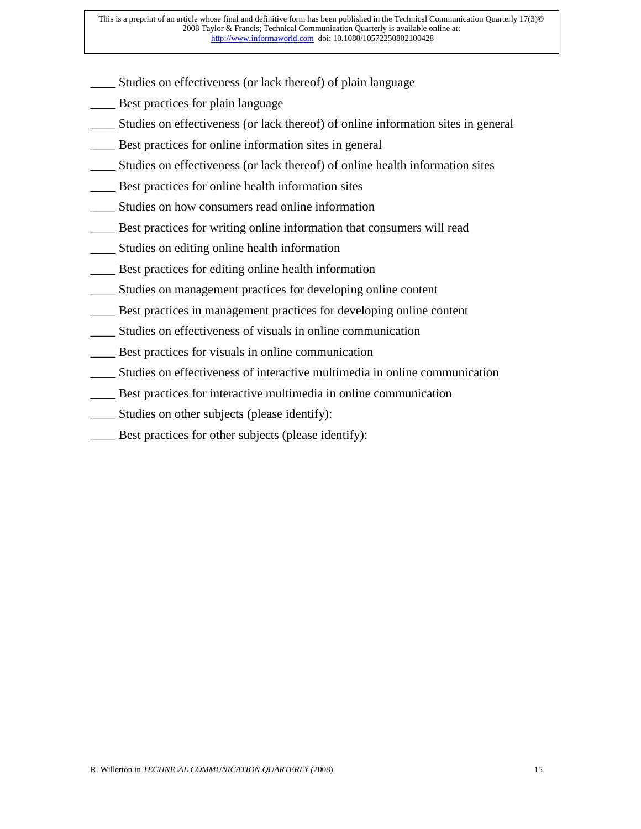- \_\_\_\_ Studies on effectiveness (or lack thereof) of plain language
- \_\_\_\_ Best practices for plain language
- \_\_\_\_ Studies on effectiveness (or lack thereof) of online information sites in general
- \_\_\_\_ Best practices for online information sites in general
- \_\_\_\_ Studies on effectiveness (or lack thereof) of online health information sites
- \_\_\_\_ Best practices for online health information sites
- \_\_\_\_ Studies on how consumers read online information
- \_\_\_\_ Best practices for writing online information that consumers will read
- \_\_\_\_ Studies on editing online health information
- \_\_\_\_ Best practices for editing online health information
- \_\_\_\_ Studies on management practices for developing online content
- \_\_\_\_ Best practices in management practices for developing online content
- \_\_\_\_ Studies on effectiveness of visuals in online communication
- \_\_\_\_ Best practices for visuals in online communication
- \_\_\_\_ Studies on effectiveness of interactive multimedia in online communication
- \_\_\_\_ Best practices for interactive multimedia in online communication
- \_\_\_\_ Studies on other subjects (please identify):
- \_\_\_\_ Best practices for other subjects (please identify):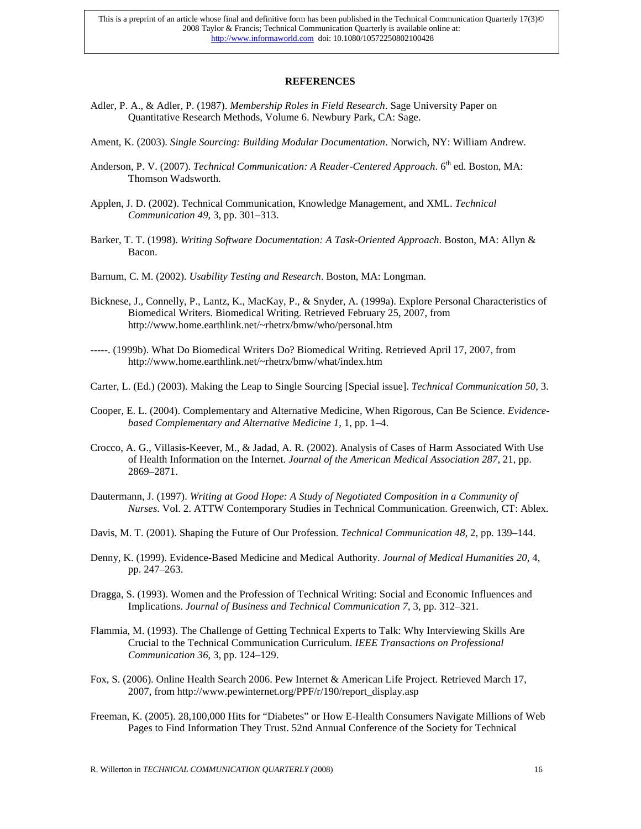#### **REFERENCES**

- Adler, P. A., & Adler, P. (1987). *Membership Roles in Field Research*. Sage University Paper on Quantitative Research Methods, Volume 6. Newbury Park, CA: Sage.
- Ament, K. (2003). *Single Sourcing: Building Modular Documentation*. Norwich, NY: William Andrew.
- Anderson, P. V. (2007). *Technical Communication: A Reader-Centered Approach*. 6<sup>th</sup> ed. Boston, MA: Thomson Wadsworth.
- Applen, J. D. (2002). Technical Communication, Knowledge Management, and XML. *Technical Communication 49*, 3, pp. 301–313.
- Barker, T. T. (1998). *Writing Software Documentation: A Task-Oriented Approach*. Boston, MA: Allyn & Bacon.
- Barnum, C. M. (2002). *Usability Testing and Research*. Boston, MA: Longman.
- Bicknese, J., Connelly, P., Lantz, K., MacKay, P., & Snyder, A. (1999a). Explore Personal Characteristics of Biomedical Writers. Biomedical Writing. Retrieved February 25, 2007, from http://www.home.earthlink.net/~rhetrx/bmw/who/personal.htm
- -----. (1999b). What Do Biomedical Writers Do? Biomedical Writing. Retrieved April 17, 2007, from http://www.home.earthlink.net/~rhetrx/bmw/what/index.htm
- Carter, L. (Ed.) (2003). Making the Leap to Single Sourcing [Special issue]. *Technical Communication 50*, 3.
- Cooper, E. L. (2004). Complementary and Alternative Medicine, When Rigorous, Can Be Science. *Evidencebased Complementary and Alternative Medicine 1*, 1, pp. 1–4.
- Crocco, A. G., Villasis-Keever, M., & Jadad, A. R. (2002). Analysis of Cases of Harm Associated With Use of Health Information on the Internet. *Journal of the American Medical Association 287*, 21, pp. 2869–2871.
- Dautermann, J. (1997). *Writing at Good Hope: A Study of Negotiated Composition in a Community of Nurses*. Vol. 2. ATTW Contemporary Studies in Technical Communication. Greenwich, CT: Ablex.
- Davis, M. T. (2001). Shaping the Future of Our Profession. *Technical Communication 48*, 2, pp. 139–144.
- Denny, K. (1999). Evidence-Based Medicine and Medical Authority. *Journal of Medical Humanities 20*, 4, pp. 247–263.
- Dragga, S. (1993). Women and the Profession of Technical Writing: Social and Economic Influences and Implications. *Journal of Business and Technical Communication 7*, 3, pp. 312–321.
- Flammia, M. (1993). The Challenge of Getting Technical Experts to Talk: Why Interviewing Skills Are Crucial to the Technical Communication Curriculum. *IEEE Transactions on Professional Communication 36*, 3, pp. 124–129.
- Fox, S. (2006). Online Health Search 2006. Pew Internet & American Life Project. Retrieved March 17, 2007, from http://www.pewinternet.org/PPF/r/190/report\_display.asp
- Freeman, K. (2005). 28,100,000 Hits for "Diabetes" or How E-Health Consumers Navigate Millions of Web Pages to Find Information They Trust. 52nd Annual Conference of the Society for Technical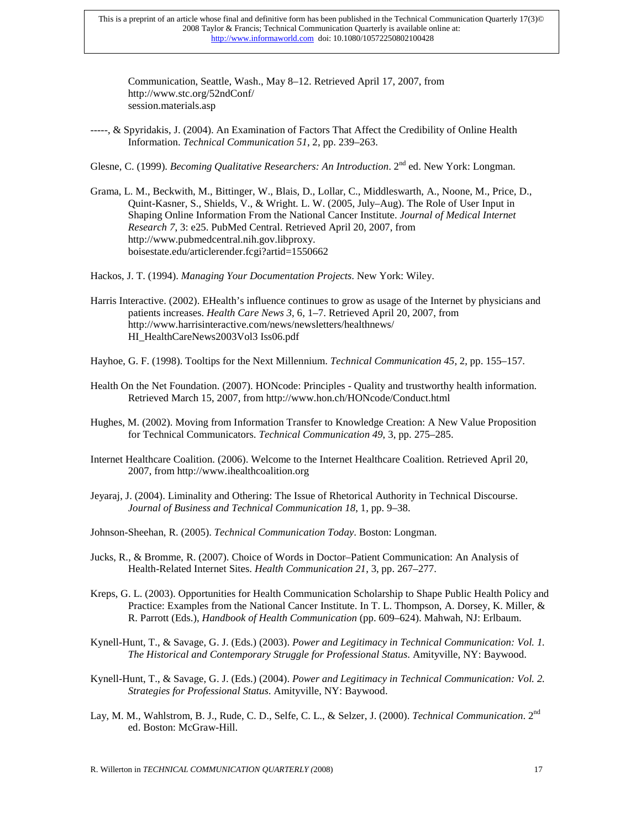Communication, Seattle, Wash., May 8–12. Retrieved April 17, 2007, from http://www.stc.org/52ndConf/ session.materials.asp

-----, & Spyridakis, J. (2004). An Examination of Factors That Affect the Credibility of Online Health Information. *Technical Communication 51*, 2, pp. 239–263.

Glesne, C. (1999). *Becoming Qualitative Researchers: An Introduction*. 2<sup>nd</sup> ed. New York: Longman.

Grama, L. M., Beckwith, M., Bittinger, W., Blais, D., Lollar, C., Middleswarth, A., Noone, M., Price, D., Quint-Kasner, S., Shields, V., & Wright. L. W. (2005, July–Aug). The Role of User Input in Shaping Online Information From the National Cancer Institute. *Journal of Medical Internet Research 7*, 3: e25. PubMed Central. Retrieved April 20, 2007, from http://www.pubmedcentral.nih.gov.libproxy. boisestate.edu/articlerender.fcgi?artid=1550662

Hackos, J. T. (1994). *Managing Your Documentation Projects*. New York: Wiley.

Harris Interactive. (2002). EHealth's influence continues to grow as usage of the Internet by physicians and patients increases. *Health Care News 3*, 6, 1–7. Retrieved April 20, 2007, from http://www.harrisinteractive.com/news/newsletters/healthnews/ HI\_HealthCareNews2003Vol3 Iss06.pdf

Hayhoe, G. F. (1998). Tooltips for the Next Millennium. *Technical Communication 45*, 2, pp. 155–157.

- Health On the Net Foundation. (2007). HONcode: Principles Quality and trustworthy health information. Retrieved March 15, 2007, from http://www.hon.ch/HONcode/Conduct.html
- Hughes, M. (2002). Moving from Information Transfer to Knowledge Creation: A New Value Proposition for Technical Communicators. *Technical Communication 49*, 3, pp. 275–285.
- Internet Healthcare Coalition. (2006). Welcome to the Internet Healthcare Coalition. Retrieved April 20, 2007, from http://www.ihealthcoalition.org
- Jeyaraj, J. (2004). Liminality and Othering: The Issue of Rhetorical Authority in Technical Discourse. *Journal of Business and Technical Communication 18*, 1, pp. 9–38.
- Johnson-Sheehan, R. (2005). *Technical Communication Today*. Boston: Longman.
- Jucks, R., & Bromme, R. (2007). Choice of Words in Doctor–Patient Communication: An Analysis of Health-Related Internet Sites. *Health Communication 21*, 3, pp. 267–277.
- Kreps, G. L. (2003). Opportunities for Health Communication Scholarship to Shape Public Health Policy and Practice: Examples from the National Cancer Institute. In T. L. Thompson, A. Dorsey, K. Miller, & R. Parrott (Eds.), *Handbook of Health Communication* (pp. 609–624). Mahwah, NJ: Erlbaum.
- Kynell-Hunt, T., & Savage, G. J. (Eds.) (2003). *Power and Legitimacy in Technical Communication: Vol. 1. The Historical and Contemporary Struggle for Professional Status*. Amityville, NY: Baywood.
- Kynell-Hunt, T., & Savage, G. J. (Eds.) (2004). *Power and Legitimacy in Technical Communication: Vol. 2. Strategies for Professional Status*. Amityville, NY: Baywood.
- Lay, M. M., Wahlstrom, B. J., Rude, C. D., Selfe, C. L., & Selzer, J. (2000). *Technical Communication*. 2nd ed. Boston: McGraw-Hill.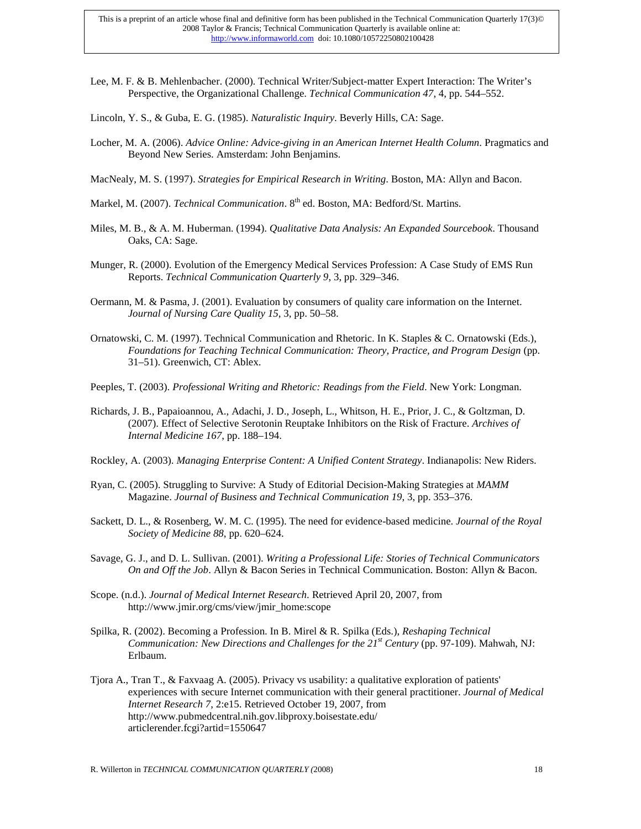- Lee, M. F. & B. Mehlenbacher. (2000). Technical Writer/Subject-matter Expert Interaction: The Writer's Perspective, the Organizational Challenge. *Technical Communication 47*, 4, pp. 544–552.
- Lincoln, Y. S., & Guba, E. G. (1985). *Naturalistic Inquiry*. Beverly Hills, CA: Sage.
- Locher, M. A. (2006). *Advice Online: Advice-giving in an American Internet Health Column*. Pragmatics and Beyond New Series. Amsterdam: John Benjamins.
- MacNealy, M. S. (1997). *Strategies for Empirical Research in Writing*. Boston, MA: Allyn and Bacon.
- Markel, M. (2007). *Technical Communication*. 8<sup>th</sup> ed. Boston, MA: Bedford/St. Martins.
- Miles, M. B., & A. M. Huberman. (1994). *Qualitative Data Analysis: An Expanded Sourcebook*. Thousand Oaks, CA: Sage.
- Munger, R. (2000). Evolution of the Emergency Medical Services Profession: A Case Study of EMS Run Reports. *Technical Communication Quarterly 9*, 3, pp. 329–346.
- Oermann, M. & Pasma, J. (2001). Evaluation by consumers of quality care information on the Internet. *Journal of Nursing Care Quality 15*, 3, pp. 50–58.
- Ornatowski, C. M. (1997). Technical Communication and Rhetoric. In K. Staples & C. Ornatowski (Eds.), *Foundations for Teaching Technical Communication: Theory, Practice, and Program Design* (pp. 31–51). Greenwich, CT: Ablex.
- Peeples, T. (2003). *Professional Writing and Rhetoric: Readings from the Field*. New York: Longman.
- Richards, J. B., Papaioannou, A., Adachi, J. D., Joseph, L., Whitson, H. E., Prior, J. C., & Goltzman, D. (2007). Effect of Selective Serotonin Reuptake Inhibitors on the Risk of Fracture. *Archives of Internal Medicine 167*, pp. 188–194.
- Rockley, A. (2003). *Managing Enterprise Content: A Unified Content Strategy*. Indianapolis: New Riders.
- Ryan, C. (2005). Struggling to Survive: A Study of Editorial Decision-Making Strategies at *MAMM*  Magazine. *Journal of Business and Technical Communication 19*, 3, pp. 353–376.
- Sackett, D. L., & Rosenberg, W. M. C. (1995). The need for evidence-based medicine. *Journal of the Royal Society of Medicine 88*, pp. 620–624.
- Savage, G. J., and D. L. Sullivan. (2001). *Writing a Professional Life: Stories of Technical Communicators On and Off the Job*. Allyn & Bacon Series in Technical Communication. Boston: Allyn & Bacon.
- Scope. (n.d.). *Journal of Medical Internet Research*. Retrieved April 20, 2007, from http://www.jmir.org/cms/view/jmir\_home:scope
- Spilka, R. (2002). Becoming a Profession. In B. Mirel & R. Spilka (Eds.), *Reshaping Technical Communication: New Directions and Challenges for the 21st Century* (pp. 97-109). Mahwah, NJ: Erlbaum.
- Tjora A., Tran T., & Faxvaag A. (2005). Privacy vs usability: a qualitative exploration of patients' experiences with secure Internet communication with their general practitioner. *Journal of Medical Internet Research 7*, 2:e15. Retrieved October 19, 2007, from http://www.pubmedcentral.nih.gov.libproxy.boisestate.edu/ articlerender.fcgi?artid=1550647